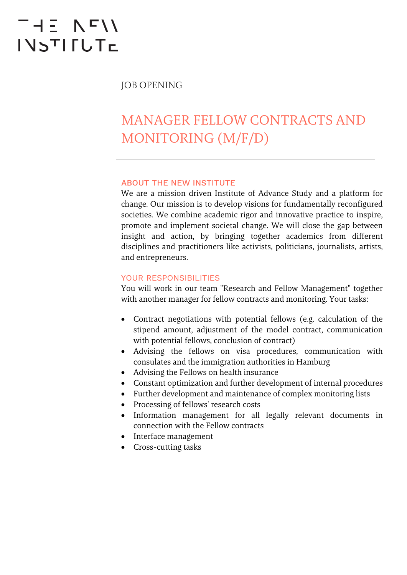# THE NFII **INSTIFUTE**

JOB OPENING

## MANAGER FELLOW CONTRACTS AND MONITORING (M/F/D)

#### ABOUT THE NEW INSTITUTE

We are a mission driven Institute of Advance Study and a platform for change. Our mission is to develop visions for fundamentally reconfigured societies. We combine academic rigor and innovative practice to inspire, promote and implement societal change. We will close the gap between insight and action, by bringing together academics from different disciplines and practitioners like activists, politicians, journalists, artists, and entrepreneurs.

#### YOUR RESPONSIBILITIES

You will work in our team "Research and Fellow Management" together with another manager for fellow contracts and monitoring. Your tasks:

- Contract negotiations with potential fellows (e.g. calculation of the stipend amount, adjustment of the model contract, communication with potential fellows, conclusion of contract)
- Advising the fellows on visa procedures, communication with consulates and the immigration authorities in Hamburg
- Advising the Fellows on health insurance
- Constant optimization and further development of internal procedures
- Further development and maintenance of complex monitoring lists
- Processing of fellows' research costs
- Information management for all legally relevant documents in connection with the Fellow contracts
- Interface management
- Cross-cutting tasks